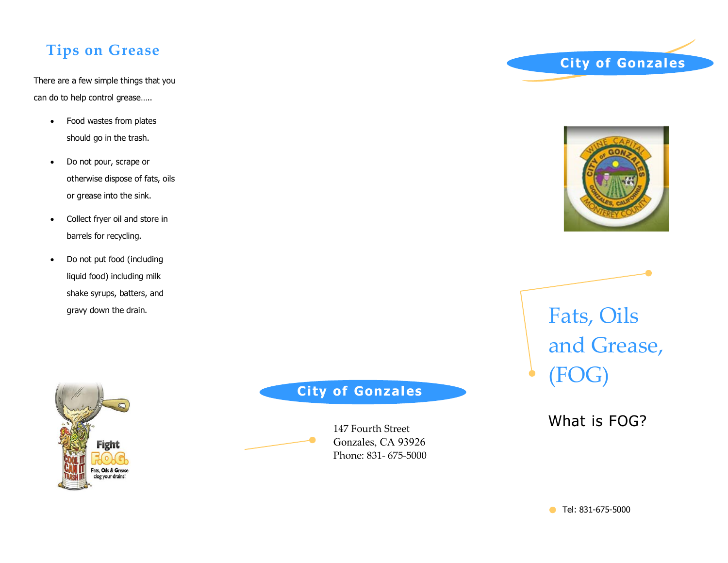# **Tips on Grease**

There are a few simple things that you can do to help control grease…..

- Food wastes from plates should go in the trash.
- Do not pour, scrape or otherwise dispose of fats, oils or grease into the sink.
- Collect fryer oil and store in barrels for recycling.
- Do not put food (including liquid food) including milk shake syrups, batters, and gravy down the drain.



### **City of Gonzales**



147 Fourth Street Gonzales, CA 93926 Phone: 831- 675-5000 and Grease, (FOG)

### What is FOG?

Fats, Oils